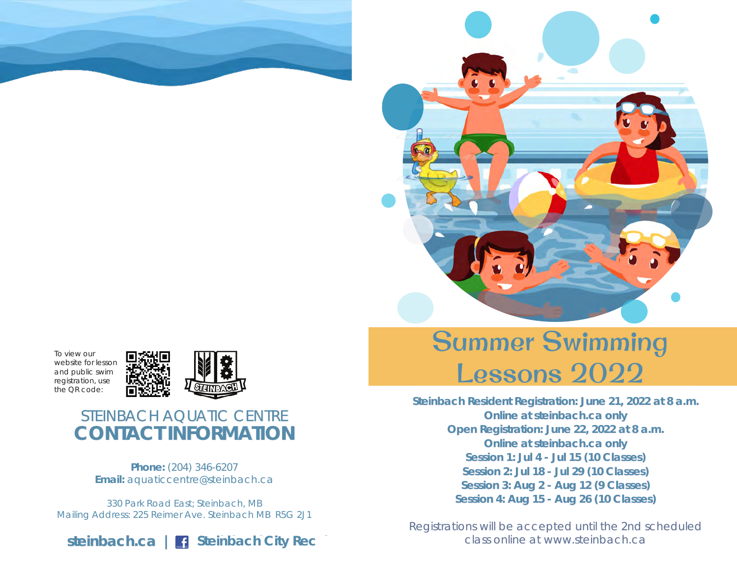



To view our website for lesson and public swim registration, use the QR code:



# STEINBACH AQUATIC CENTRE **CONTACT INFORMATION**

**Phone:** (204) 346-6207 **Email:** aquaticcentre@steinbach.ca

330 Park Road East; Steinbach, MB Mailing Address: 225 Reimer Ave. Steinbach MB R5G 2J1



# Summer Swimming Lessons 2022

**Steinbach Resident Registration: June 21, 2022 at 8 a.m. Online at steinbach.ca only Open Registration: June 22, 2022 at 8 a.m. Online at steinbach.ca only Session 1: Jul 4 - Jul 15 (10 Classes) Session 2: Jul 18 - Jul 29 (10 Classes) Session 3: Aug 2 - Aug 12 (9 Classes) Session 4: Aug 15 - Aug 26 (10 Classes)**

Registrations will be accepted until the 2nd scheduled class online at www.steinbach.ca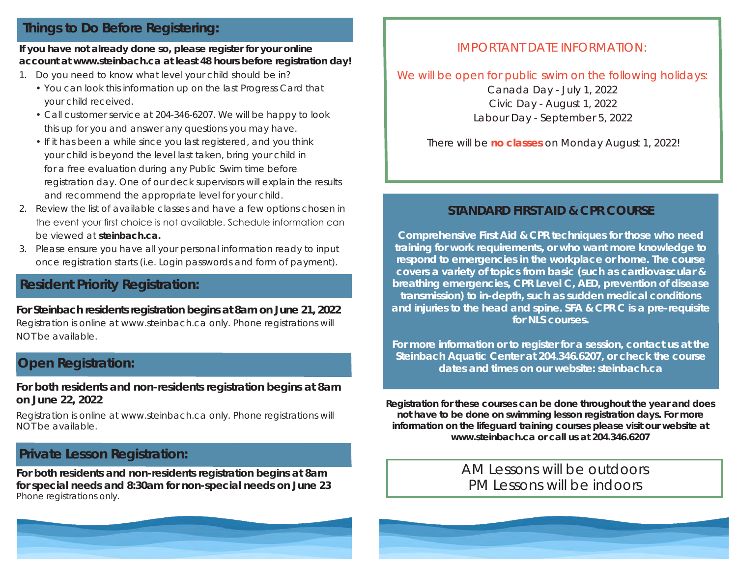### **Things to Do Before Registering:**

### **If you have not already done so, please register for your online account at www.steinbach.ca at least 48 hours before registration day!**

- 1. Do you need to know what level your child should be in?
	- You can look this information up on the last Progress Card that your child received.
	- Call customer service at 204-346-6207. We will be happy to look this up for you and answer any questions you may have.
	- If it has been a while since you last registered, and you think your child is beyond the level last taken, bring your child in for a free evaluation during any Public Swim time before registration day. One of our deck supervisors will explain the results and recommend the appropriate level for your child.
- 2. Review the list of available classes and have a few options chosen in the event your first choice is not available. Schedule information can be viewed at **steinbach.ca.**
- 3. Please ensure you have all your personal information ready to input once registration starts (i.e. Login passwords and form of payment).

### **Resident Priority Registration:**

### Registration is online at www.steinbach.ca only. Phone registrations will NOT be available. **For Steinbach residents registration begins at 8am on June 21, 2022**

### **Open Registration:**

**For both residents and non-residents registration begins at 8am on June 22, 2022**

Registration is online at www.steinbach.ca only. Phone registrations will NOT be available.

# **Private Lesson Registration:**

**For both residents and non-residents registration begins at 8am for special needs and 8:30am for non-special needs on June 23**  *Phone registrations only.*

### IMPORTANT DATE INFORMATION:

### We will be open for public swim on the following holidays: Canada Day - July 1, 2022 Civic Day - August 1, 2022 Labour Day - September 5, 2022

There will be **no classes** on Monday August 1, 2022!

### **STANDARD FIRST AID & CPR COURSE**

**Comprehensive First Aid & CPR techniques for those who need training for work requirements, or who want more knowledge to respond to emergencies in the workplace or home. The course covers a variety of topics from basic (such as cardiovascular & breathing emergencies, CPR Level C, AED, prevention of disease transmission) to in-depth, such as sudden medical conditions and injuries to the head and spine. SFA & CPR C is a pre-requisite for NLS courses.**

**For more information or to register for a session, contact us at the Steinbach Aquatic Center at 204.346.6207, or check the course dates and times on our website: steinbach.ca**

**Registration for these courses can be done throughout the year and does not have to be done on swimming lesson registration days. For more information on the lifeguard training courses please visit our website at www.steinbach.ca or call us at 204.346.6207**

> AM Lessons will be outdoors PM Lessons will be indoors

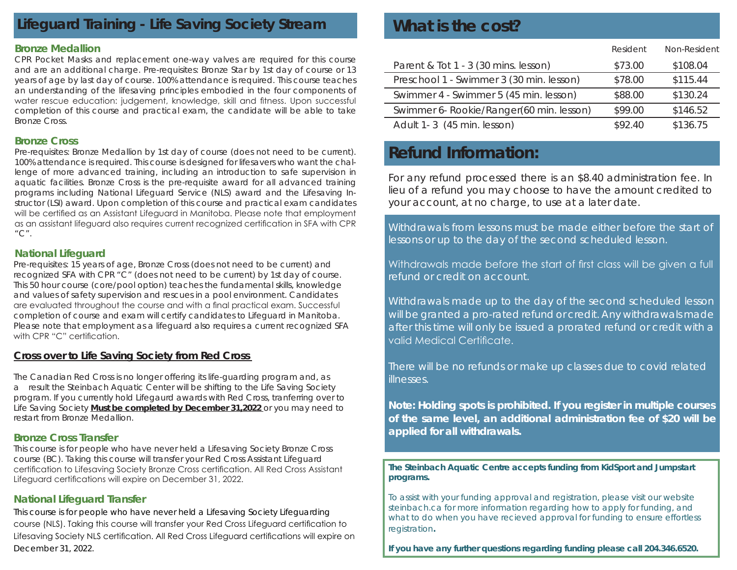# **Lifeguard Training - Life Saving Society Stream**

#### **Bronze Medallion**

CPR Pocket Masks and replacement one-way valves are required for this course and are an additional charge. Pre-requisites: Bronze Star by 1st day of course or 13 years of age by last day of course. 100% attendance is required. This course teaches an understanding of the lifesaving principles embodied in the four components of water rescue education: judgement, knowledge, skill and fitness. Upon successful completion of this course and practical exam, the candidate will be able to take Bronze Cross.

#### **Bronze Cross**

Pre-requisites: Bronze Medallion by 1st day of course (does not need to be current). 100% attendance is required. This course is designed for lifesavers who want the challenge of more advanced training, including an introduction to safe supervision in aquatic facilities. Bronze Cross is the pre-requisite award for all advanced training programs including National Lifeguard Service (NLS) award and the Lifesaving Instructor (LSI) award. Upon completion of this course and practical exam candidates will be certified as an Assistant Lifeguard in Manitoba. Please note that employment as an assistant lifeguard also requires current recognized certification in SFA with CPR " $C$ ".

#### **National Lifeguard**

Pre-requisites: 15 years of age, Bronze Cross (does not need to be current) and recognized SFA with CPR "C" (does not need to be current) by 1st day of course. This 50 hour course (core/pool option) teaches the fundamental skills, knowledge and values of safety supervision and rescues in a pool environment. Candidates are evaluated throughout the course and with a final practical exam. Successful completion of course and exam will certify candidates to Lifeguard in Manitoba. Please note that employment as a lifeguard also requires a current recognized SFA with CPR "C" certification.

### **Cross over to Life Saving Society from Red Cross**

The Canadian Red Cross is no longer offering its life-guarding program and, as a result the Steinbach Aquatic Center will be shifting to the Life Saving Society program. If you currently hold Lifegaurd awards with Red Cross, tranferring over to Life Saving Society **Must be completed by December 31,2022** or you may need to restart from Bronze Medallion.

### **Bronze Cross Transfer**

This course is for people who have never held a Lifesaving Society Bronze Cross course (BC). Taking this course will transfer your Red Cross Assistant Lifeguard certification to Lifesaving Society Bronze Cross certification. All Red Cross Assistant Lifeguard certifications will expire on December 31, 2022.

### **National Lifeguard Transfer**

This course is for people who have never held a Lifesaving Society Lifeguarding course (NLS). Taking this course will transfer your Red Cross Lifeguard certification to Lifesaving Society NLS certification. All Red Cross Lifeguard certifications will expire on December 31, 2022.

# **What is the cost?**

|                                          | Resident | Non-Resident |
|------------------------------------------|----------|--------------|
| Parent & Tot 1 - 3 (30 mins. lesson)     | \$73.00  | \$108.04     |
| Preschool 1 - Swimmer 3 (30 min. lesson) | \$78.00  | \$115.44     |
| Swimmer 4 - Swimmer 5 (45 min. lesson)   | \$88.00  | \$130.24     |
| Swimmer 6- Rookie/Ranger(60 min. lesson) | \$99.00  | \$146.52     |
| Adult 1-3 (45 min. lesson)               | \$92.40  | \$136.75     |

# **Refund Information:**

For any refund processed there is an *\$8.40 administration fee.* In lieu of a refund you may choose to have the amount credited to your account, at no charge, to use at a later date.

Withdrawals from lessons must be made either before the start of lessons or up to the day of the second scheduled lesson.

Withdrawals made before the start of first class will be given a full refund or credit on account.

Withdrawals made up to the day of the second scheduled lesson will be granted a pro-rated refund or credit. Any withdrawals made after this time will only be issued a prorated refund or credit with a valid Medical Certificate.

There will be no refunds or make up classes due to covid related illnesses.

**Note: Holding spots is prohibited. If you register in multiple courses of the same level, an additional administration fee of \$20 will be applied for all withdrawals.** 

#### **The Steinbach Aquatic Centre accepts funding from KidSport and Jumpstart programs.**

To assist with your funding approval and registration, please visit our website steinbach.ca for more information regarding how to apply for funding, and what to do when you have recieved approval for funding to ensure effortless registration**.**

**If you have any further questions regarding funding please call 204.346.6520.**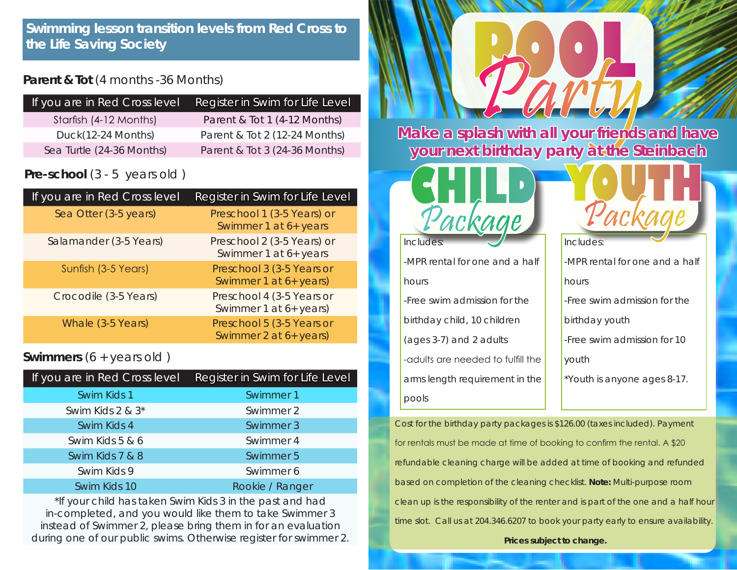### **Parent & Tot** (4 months -36 Months)

| If you are in Red Cross level | Register in Swim for Life Level |
|-------------------------------|---------------------------------|
| Starfish (4-12 Months)        | Parent & Tot 1 (4-12 Months)    |
| Duck(12-24 Months)            | Parent & Tot 2 (12-24 Months)   |
| Sea Turtle (24-36 Months)     | Parent & Tot 3 (24-36 Months)   |

# **Pre-school** (3 - 5 years old)

| If you are in Red Cross level | Register in Swim for Life Level                     |
|-------------------------------|-----------------------------------------------------|
| Sea Otter (3-5 years)         | Preschool 1 (3-5 Years) or<br>Swimmer 1 at 6+ years |
| Salamander (3-5 Years)        | Preschool 2 (3-5 Years) or<br>Swimmer 1 at 6+ years |
| Sunfish (3-5 Years)           | Preschool 3 (3-5 Years or<br>Swimmer 1 at 6+ years) |
| Crocodile (3-5 Years)         | Preschool 4 (3-5 Years or<br>Swimmer 1 at 6+ years) |
| Whale (3-5 Years)             | Preschool 5 (3-5 Years or<br>Swimmer 2 at 6+ years) |

### **Swimmers** (6 + years old )

| If you are in Red Cross level | Register in Swim for Life Level |
|-------------------------------|---------------------------------|
| Swim Kids 1                   | Swimmer 1                       |
| Swim Kids 2 & 3 <sup>*</sup>  | Swimmer 2                       |
| Swim Kids 4                   | Swimmer 3                       |
| Swim Kids 5 & 6               | Swimmer 4                       |
| Swim Kids 7 & 8               | Swimmer 5                       |
| Swim Kids 9                   | Swimmer 6                       |
| Swim Kids 10                  | Rookie / Ranger                 |

\*If your child has taken Swim Kids 3 in the past and had in-completed, and you would like them to take Swimmer 3 instead of Swimmer 2, please bring them in for an evaluation during one of our public swims. Otherwise register for swimmer 2.



**your next birthday party at the Steinbach** 



#### Includes:

-MPR rental for one and a half hours -Free swim admission for the

birthday child, 10 children (ages 3-7) and 2 adults -adults are needed to fulfill the arms length requirement in the pools



arka

Cost for the birthday party packages is \$126.00 (taxes included). Payment for rentals must be made at time of booking to confirm the rental. A \$20 refundable cleaning charge will be added at time of booking and refunded based on completion of the cleaning checklist. **Note:** Multi-purpose room clean up is the responsibility of the renter and is part of the one and a half hour time slot. Call us at 204.346.6207 to book your party early to ensure availability.

**Prices subject to change.**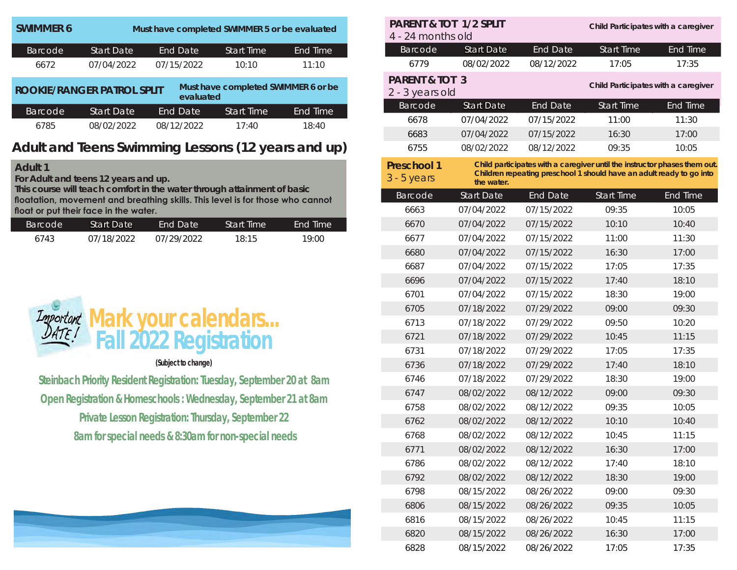| <b>SWIMMER 6</b>                  |                   | Must have completed SWIMMER 5 or be evaluated |                                     |                 |
|-----------------------------------|-------------------|-----------------------------------------------|-------------------------------------|-----------------|
| Barcode                           | <b>Start Date</b> | End Date                                      | <b>Start Time</b>                   | <b>End Time</b> |
| 6672                              | 07/04/2022        | 07/15/2022                                    | 10:10                               | 11:10           |
| <b>ROOKIE/RANGER PATROL SPLIT</b> |                   | evaluated                                     | Must have completed SWIMMER 6 or be |                 |
| <b>Barcode</b>                    | <b>Start Date</b> | End Date                                      | <b>Start Time</b>                   | End Time        |
| 6785                              | 08/02/2022        | 08/12/2022                                    | 17:40                               | 18:40           |

### **Adult and Teens Swimming Lessons (12 years and up)**

### **Adult 1**

**For Adult and teens 12 years and up.**

**This course will teach comfort in the water through attainment of basic floatation, movement and breathing skills. This level is for those who cannot float or put their face in the water.** 

| <b>Barcode</b> | Start Date | End Date   | <b>Start Time</b> | <b>End Time</b> |
|----------------|------------|------------|-------------------|-----------------|
| 6743           | 07/18/2022 | 07/29/2022 | 18:15             | 19:00           |



#### **(Subject to change)**

**Steinbach Priority Resident Registration: Tuesday, September 20 at 8am Open Registration & Homeschools : Wednesday, September 21 at 8am Private Lesson Registration: Thursday, September 22 8am for special needs & 8:30am for non-special needs**



| <b>PARENT &amp; TOT 1/2 SPLIT</b><br>4 - 24 months old |                   |                 | Child Participates with a caregiver                                       |                 |
|--------------------------------------------------------|-------------------|-----------------|---------------------------------------------------------------------------|-----------------|
| Barcode                                                | <b>Start Date</b> | <b>End Date</b> | <b>Start Time</b>                                                         | End Time        |
| 6779                                                   | 08/02/2022        | 08/12/2022      | 17:05                                                                     | 17:35           |
| <b>PARENT &amp; TOT 3</b>                              |                   |                 |                                                                           |                 |
| 2 - 3 years old                                        |                   |                 | Child Participates with a caregiver                                       |                 |
| Barcode                                                | <b>Start Date</b> | <b>End Date</b> | <b>Start Time</b>                                                         | End Time        |
| 6678                                                   | 07/04/2022        | 07/15/2022      | 11:00                                                                     | 11:30           |
| 6683                                                   | 07/04/2022        | 07/15/2022      | 16:30                                                                     | 17:00           |
| 6755                                                   | 08/02/2022        | 08/12/2022      | 09:35                                                                     | 10:05           |
| <b>Preschool 1</b>                                     |                   |                 | Child participates with a caregiver until the instructor phases them out. |                 |
| $3 - 5$ years                                          | the water.        |                 | Children repeating preschool 1 should have an adult ready to go into      |                 |
| Barcode                                                | <b>Start Date</b> | <b>End Date</b> | <b>Start Time</b>                                                         | <b>End Time</b> |
| 6663                                                   | 07/04/2022        | 07/15/2022      | 09:35                                                                     | 10:05           |
| 6670                                                   | 07/04/2022        | 07/15/2022      | 10:10                                                                     | 10:40           |
| 6677                                                   | 07/04/2022        | 07/15/2022      | 11:00                                                                     | 11:30           |
| 6680                                                   | 07/04/2022        | 07/15/2022      | 16:30                                                                     | 17:00           |
| 6687                                                   | 07/04/2022        | 07/15/2022      | 17:05                                                                     | 17:35           |
| 6696                                                   | 07/04/2022        | 07/15/2022      | 17:40                                                                     | 18:10           |
| 6701                                                   | 07/04/2022        | 07/15/2022      | 18:30                                                                     | 19:00           |
| 6705                                                   | 07/18/2022        | 07/29/2022      | 09:00                                                                     | 09:30           |
| 6713                                                   | 07/18/2022        | 07/29/2022      | 09:50                                                                     | 10:20           |
| 6721                                                   | 07/18/2022        | 07/29/2022      | 10:45                                                                     | 11:15           |
| 6731                                                   | 07/18/2022        | 07/29/2022      | 17:05                                                                     | 17:35           |
| 6736                                                   | 07/18/2022        | 07/29/2022      | 17:40                                                                     | 18:10           |
| 6746                                                   | 07/18/2022        | 07/29/2022      | 18:30                                                                     | 19:00           |
| 6747                                                   | 08/02/2022        | 08/12/2022      | 09:00                                                                     | 09:30           |
| 6758                                                   | 08/02/2022        | 08/12/2022      | 09:35                                                                     | 10:05           |
| 6762                                                   | 08/02/2022        | 08/12/2022      | 10:10                                                                     | 10:40           |
| 6768                                                   | 08/02/2022        | 08/12/2022      | 10:45                                                                     | 11:15           |
| 6771                                                   | 08/02/2022        | 08/12/2022      | 16:30                                                                     | 17:00           |
| 6786                                                   | 08/02/2022        | 08/12/2022      | 17:40                                                                     | 18:10           |
| 6792                                                   | 08/02/2022        | 08/12/2022      | 18:30                                                                     | 19:00           |
| 6798                                                   | 08/15/2022        | 08/26/2022      | 09:00                                                                     | 09:30           |
| 6806                                                   | 08/15/2022        | 08/26/2022      | 09:35                                                                     | 10:05           |
| 6816                                                   | 08/15/2022        | 08/26/2022      | 10:45                                                                     | 11:15           |
| 6820                                                   | 08/15/2022        | 08/26/2022      | 16:30                                                                     | 17:00           |
| 6828                                                   | 08/15/2022        | 08/26/2022      | 17:05                                                                     | 17:35           |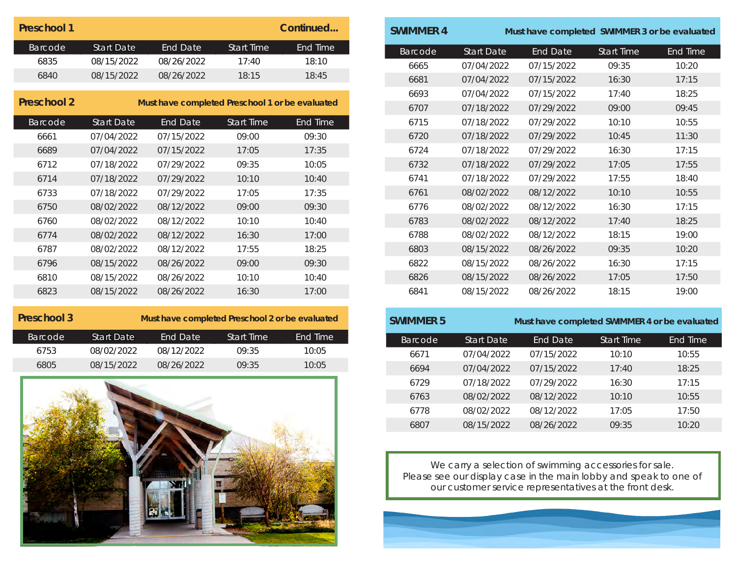| Preschool 1    |            |            |            | Continued |
|----------------|------------|------------|------------|-----------|
| <b>Barcode</b> | Start Date | End Date   | Start Time | End Time  |
| 6835           | 08/15/2022 | 08/26/2022 | 17:40      | 18:10     |
| 6840           | 08/15/2022 | 08/26/2022 | 18.15      | 18:45     |

| Preschool 2 |                   | Must have completed Preschool 1 or be evaluated |                   |                 |
|-------------|-------------------|-------------------------------------------------|-------------------|-----------------|
| Barcode     | <b>Start Date</b> | <b>End Date</b>                                 | <b>Start Time</b> | <b>End Time</b> |
| 6661        | 07/04/2022        | 07/15/2022                                      | 09:00             | 09:30           |
| 6689        | 07/04/2022        | 07/15/2022                                      | 17:05             | 17:35           |
| 6712        | 07/18/2022        | 07/29/2022                                      | 09:35             | 10:05           |
| 6714        | 07/18/2022        | 07/29/2022                                      | 10:10             | 10:40           |
| 6733        | 07/18/2022        | 07/29/2022                                      | 17:05             | 17:35           |
| 6750        | 08/02/2022        | 08/12/2022                                      | 09:00             | 09:30           |
| 6760        | 08/02/2022        | 08/12/2022                                      | 10:10             | 10:40           |
| 6774        | 08/02/2022        | 08/12/2022                                      | 16:30             | 17:00           |
| 6787        | 08/02/2022        | 08/12/2022                                      | 17:55             | 18:25           |
| 6796        | 08/15/2022        | 08/26/2022                                      | 09:00             | 09:30           |
| 6810        | 08/15/2022        | 08/26/2022                                      | 10:10             | 10:40           |
| 6823        | 08/15/2022        | 08/26/2022                                      | 16:30             | 17:00           |

| Must have completed Preschool 2 or be evaluated |            |                   |          |
|-------------------------------------------------|------------|-------------------|----------|
| <b>Start Date</b>                               | End Date   | <b>Start Time</b> | End Time |
| 08/02/2022                                      | 08/12/2022 | 09:35             | 10:05    |
| 08/15/2022                                      | 08/26/2022 | 09:35             | 10:05    |
|                                                 |            |                   |          |



| <b>SWIMMER 4</b> |                   | Must have completed SWIMMER 3 or be evaluated |                   |          |
|------------------|-------------------|-----------------------------------------------|-------------------|----------|
| Barcode          | <b>Start Date</b> | <b>End Date</b>                               | <b>Start Time</b> | End Time |
| 6665             | 07/04/2022        | 07/15/2022                                    | 09:35             | 10:20    |
| 6681             | 07/04/2022        | 07/15/2022                                    | 16:30             | 17:15    |
| 6693             | 07/04/2022        | 07/15/2022                                    | 17:40             | 18:25    |
| 6707             | 07/18/2022        | 07/29/2022                                    | 09:00             | 09:45    |
| 6715             | 07/18/2022        | 07/29/2022                                    | 10:10             | 10:55    |
| 6720             | 07/18/2022        | 07/29/2022                                    | 10:45             | 11:30    |
| 6724             | 07/18/2022        | 07/29/2022                                    | 16:30             | 17:15    |
| 6732             | 07/18/2022        | 07/29/2022                                    | 17:05             | 17:55    |
| 6741             | 07/18/2022        | 07/29/2022                                    | 17:55             | 18:40    |
| 6761             | 08/02/2022        | 08/12/2022                                    | 10:10             | 10:55    |
| 6776             | 08/02/2022        | 08/12/2022                                    | 16:30             | 17:15    |
| 6783             | 08/02/2022        | 08/12/2022                                    | 17:40             | 18:25    |
| 6788             | 08/02/2022        | 08/12/2022                                    | 18:15             | 19:00    |
| 6803             | 08/15/2022        | 08/26/2022                                    | 09:35             | 10:20    |
| 6822             | 08/15/2022        | 08/26/2022                                    | 16:30             | 17:15    |
| 6826             | 08/15/2022        | 08/26/2022                                    | 17:05             | 17:50    |
| 6841             | 08/15/2022        | 08/26/2022                                    | 18:15             | 19:00    |

| <b>SWIMMER 5</b> |                   | Must have completed SWIMMER 4 or be evaluated |                   |          |
|------------------|-------------------|-----------------------------------------------|-------------------|----------|
| <b>Barcode</b>   | <b>Start Date</b> | <b>End Date</b>                               | <b>Start Time</b> | End Time |
| 6671             | 07/04/2022        | 07/15/2022                                    | 10:10             | 10:55    |
| 6694             | 07/04/2022        | 07/15/2022                                    | 17:40             | 18:25    |
| 6729             | 07/18/2022        | 07/29/2022                                    | 16:30             | 17:15    |
| 6763             | 08/02/2022        | 08/12/2022                                    | 10:10             | 10:55    |
| 6778             | 08/02/2022        | 08/12/2022                                    | 17:05             | 17:50    |
| 6807             | 08/15/2022        | 08/26/2022                                    | 09:35             | 10:20    |

We carry a selection of swimming accessories for sale. Please see our display case in the main lobby and speak to one of our customer service representatives at the front desk.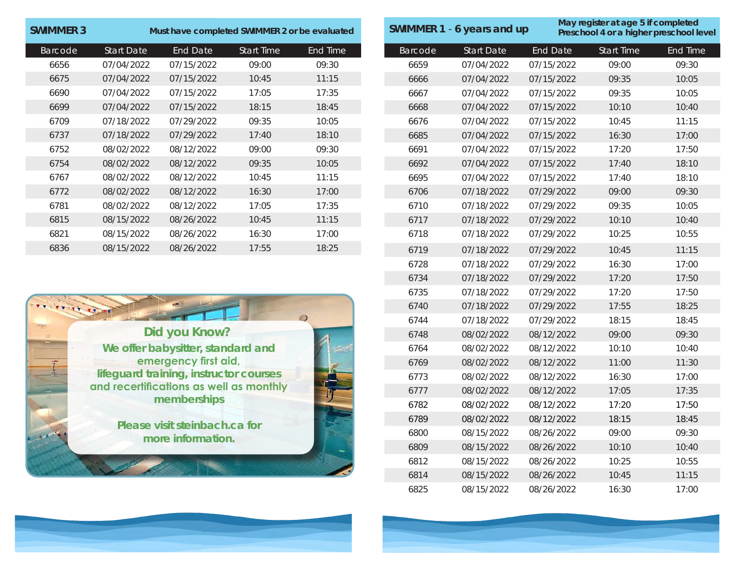| <b>SWIMMER 3</b> |                   | Must have completed SWIMMER 2 or be evaluated |                   |          |  |
|------------------|-------------------|-----------------------------------------------|-------------------|----------|--|
| Barcode          | <b>Start Date</b> | End Date                                      | <b>Start Time</b> | End Time |  |
| 6656             | 07/04/2022        | 07/15/2022                                    | 09:00             | 09:30    |  |
| 6675             | 07/04/2022        | 07/15/2022                                    | 10:45             | 11:15    |  |
| 6690             | 07/04/2022        | 07/15/2022                                    | 17:05             | 17:35    |  |
| 6699             | 07/04/2022        | 07/15/2022                                    | 18:15             | 18:45    |  |
| 6709             | 07/18/2022        | 07/29/2022                                    | 09:35             | 10:05    |  |
| 6737             | 07/18/2022        | 07/29/2022                                    | 17:40             | 18:10    |  |
| 6752             | 08/02/2022        | 08/12/2022                                    | 09:00             | 09:30    |  |
| 6754             | 08/02/2022        | 08/12/2022                                    | 09:35             | 10:05    |  |
| 6767             | 08/02/2022        | 08/12/2022                                    | 10:45             | 11:15    |  |
| 6772             | 08/02/2022        | 08/12/2022                                    | 16:30             | 17:00    |  |
| 6781             | 08/02/2022        | 08/12/2022                                    | 17:05             | 17:35    |  |
| 6815             | 08/15/2022        | 08/26/2022                                    | 10:45             | 11:15    |  |
| 6821             | 08/15/2022        | 08/26/2022                                    | 16:30             | 17:00    |  |
| 6836             | 08/15/2022        | 08/26/2022                                    | 17:55             | 18:25    |  |



|                | SWIMMER 1 - 6 years and up |                 | May register at age 5 if completed<br>Preschool 4 or a higher preschool level |                 |
|----------------|----------------------------|-----------------|-------------------------------------------------------------------------------|-----------------|
| <b>Barcode</b> | <b>Start Date</b>          | <b>End Date</b> | <b>Start Time</b>                                                             | <b>End Time</b> |
| 6659           | 07/04/2022                 | 07/15/2022      | 09:00                                                                         | 09:30           |
| 6666           | 07/04/2022                 | 07/15/2022      | 09:35                                                                         | 10:05           |
| 6667           | 07/04/2022                 | 07/15/2022      | 09:35                                                                         | 10:05           |
| 6668           | 07/04/2022                 | 07/15/2022      | 10:10                                                                         | 10:40           |
| 6676           | 07/04/2022                 | 07/15/2022      | 10:45                                                                         | 11:15           |
| 6685           | 07/04/2022                 | 07/15/2022      | 16:30                                                                         | 17:00           |
| 6691           | 07/04/2022                 | 07/15/2022      | 17:20                                                                         | 17:50           |
| 6692           | 07/04/2022                 | 07/15/2022      | 17:40                                                                         | 18:10           |
| 6695           | 07/04/2022                 | 07/15/2022      | 17:40                                                                         | 18:10           |
| 6706           | 07/18/2022                 | 07/29/2022      | 09:00                                                                         | 09:30           |
| 6710           | 07/18/2022                 | 07/29/2022      | 09:35                                                                         | 10:05           |
| 6717           | 07/18/2022                 | 07/29/2022      | 10:10                                                                         | 10:40           |
| 6718           | 07/18/2022                 | 07/29/2022      | 10:25                                                                         | 10:55           |
| 6719           | 07/18/2022                 | 07/29/2022      | 10:45                                                                         | 11:15           |
| 6728           | 07/18/2022                 | 07/29/2022      | 16:30                                                                         | 17:00           |
| 6734           | 07/18/2022                 | 07/29/2022      | 17:20                                                                         | 17:50           |
| 6735           | 07/18/2022                 | 07/29/2022      | 17:20                                                                         | 17:50           |
| 6740           | 07/18/2022                 | 07/29/2022      | 17:55                                                                         | 18:25           |
| 6744           | 07/18/2022                 | 07/29/2022      | 18:15                                                                         | 18:45           |
| 6748           | 08/02/2022                 | 08/12/2022      | 09:00                                                                         | 09:30           |
| 6764           | 08/02/2022                 | 08/12/2022      | 10:10                                                                         | 10:40           |
| 6769           | 08/02/2022                 | 08/12/2022      | 11:00                                                                         | 11:30           |
| 6773           | 08/02/2022                 | 08/12/2022      | 16:30                                                                         | 17:00           |
| 6777           | 08/02/2022                 | 08/12/2022      | 17:05                                                                         | 17:35           |
| 6782           | 08/02/2022                 | 08/12/2022      | 17:20                                                                         | 17:50           |
| 6789           | 08/02/2022                 | 08/12/2022      | 18:15                                                                         | 18:45           |
| 6800           | 08/15/2022                 | 08/26/2022      | 09:00                                                                         | 09:30           |
| 6809           | 08/15/2022                 | 08/26/2022      | 10:10                                                                         | 10:40           |
| 6812           | 08/15/2022                 | 08/26/2022      | 10:25                                                                         | 10:55           |
| 6814           | 08/15/2022                 | 08/26/2022      | 10:45                                                                         | 11:15           |
| 6825           | 08/15/2022                 | 08/26/2022      | 16:30                                                                         | 17:00           |